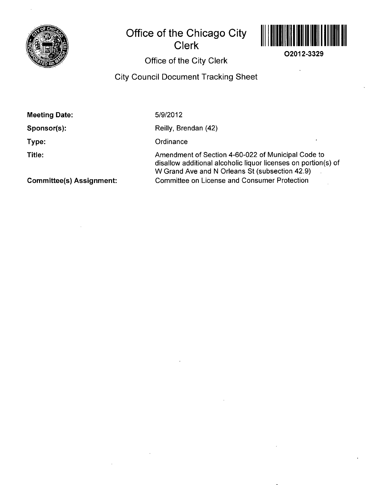

# **Office of the Chicago City Clerk**



**O2012-3329** 

 $\hat{\mathbf{r}}$ 

## **Office of the City Clerk**

## **City Council Document Tracking Sheet**

| <b>Meeting Date:</b>            | 5/9/2012                                                                                                                                                               |
|---------------------------------|------------------------------------------------------------------------------------------------------------------------------------------------------------------------|
| Sponsor(s):                     | Reilly, Brendan (42)                                                                                                                                                   |
| Type:                           | Ordinance                                                                                                                                                              |
| Title:                          | Amendment of Section 4-60-022 of Municipal Code to<br>disallow additional alcoholic liquor licenses on portion(s) of<br>W Grand Ave and N Orleans St (subsection 42.9) |
| <b>Committee(s) Assignment:</b> | <b>Committee on License and Consumer Protection</b>                                                                                                                    |

**Committee(s) Assignment:**